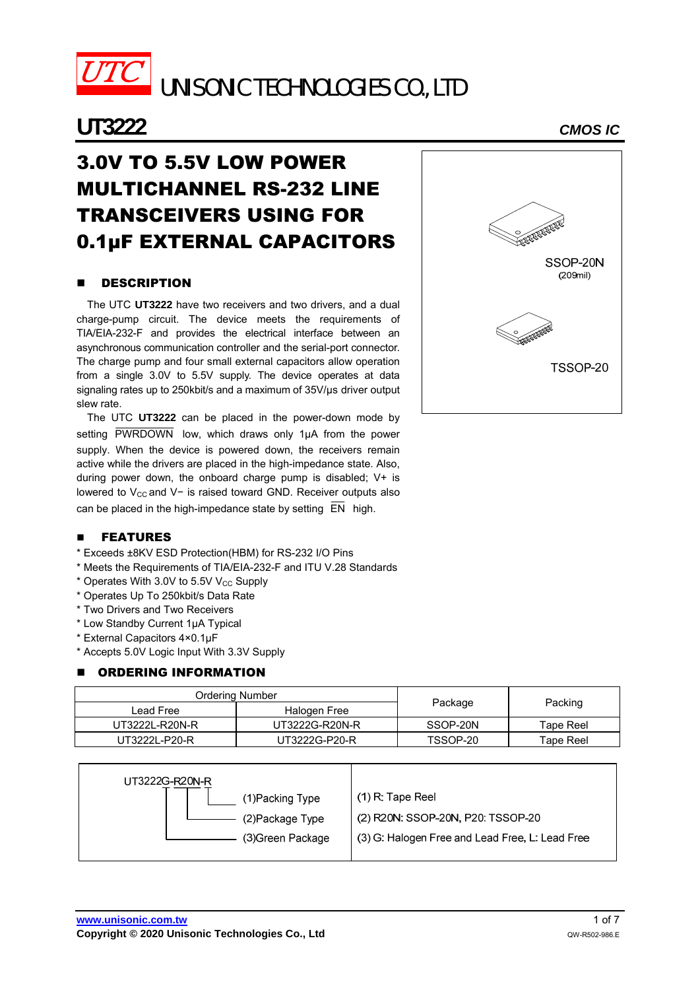

UNISONIC TECHNOLOGIES CO., LTD

## **UT3222** *CMOS IC*

# 3.0V TO 5.5V LOW POWER MULTICHANNEL RS-232 LINE TRANSCEIVERS USING FOR 0.1μF EXTERNAL CAPACITORS

## **DESCRIPTION**

The UTC **UT3222** have two receivers and two drivers, and a dual charge-pump circuit. The device meets the requirements of TIA/EIA-232-F and provides the electrical interface between an asynchronous communication controller and the serial-port connector. The charge pump and four small external capacitors allow operation from a single 3.0V to 5.5V supply. The device operates at data signaling rates up to 250kbit/s and a maximum of 35V/us driver output slew rate.

The UTC **UT3222** can be placed in the power-down mode by setting PWRDOWN low, which draws only 1µA from the power supply. When the device is powered down, the receivers remain active while the drivers are placed in the high-impedance state. Also, during power down, the onboard charge pump is disabled; V+ is lowered to V<sub>CC</sub> and V− is raised toward GND. Receiver outputs also can be placed in the high-impedance state by setting  $\overline{EN}$  high.



## **n** FEATURES

- \* Exceeds ±8KV ESD Protection(HBM) for RS-232 I/O Pins
- \* Meets the Requirements of TIA/EIA-232-F and ITU V.28 Standards
- $*$  Operates With 3.0V to 5.5V V<sub>CC</sub> Supply
- \* Operates Up To 250kbit/s Data Rate
- \* Two Drivers and Two Receivers
- \* Low Standby Current 1μA Typical
- \* External Capacitors 4×0.1μF
- \* Accepts 5.0V Logic Input With 3.3V Supply

#### ORDERING INFORMATION

| Ordering Number |                |          |           |  |
|-----------------|----------------|----------|-----------|--|
| Lead Free       | Halogen Free   | Package  | Packing   |  |
| UT3222L-R20N-R  | UT3222G-R20N-R | SSOP-20N | Tape Reel |  |
| UT3222L-P20-R   | UT3222G-P20-R  | TSSOP-20 | Tape Reel |  |

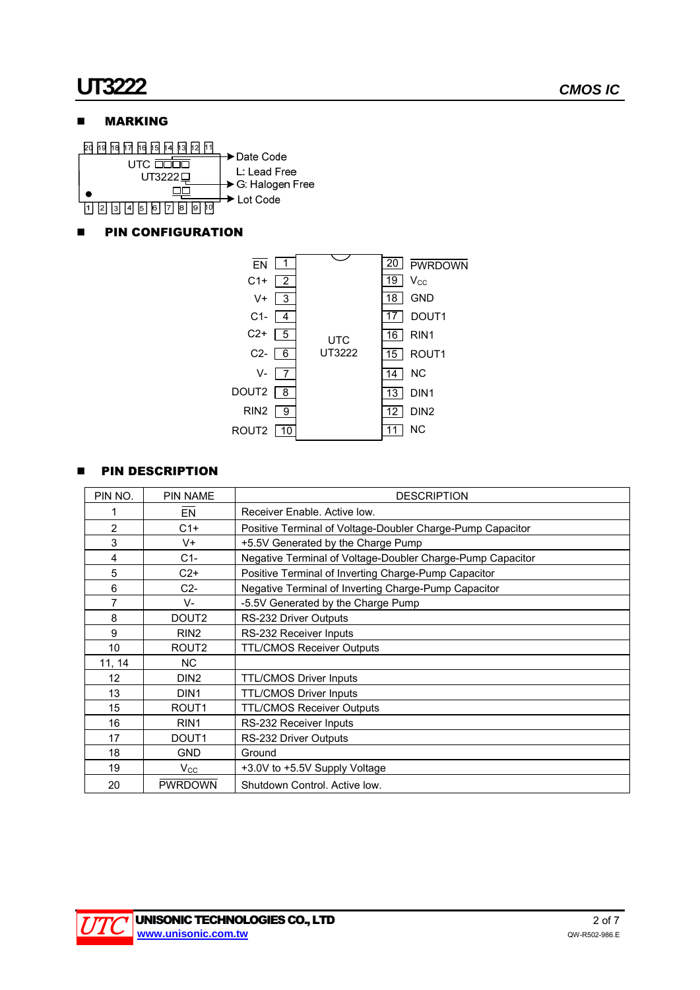## **NARKING**



## **PIN CONFIGURATION**



## **PIN DESCRIPTION**

| PIN NO.         | <b>PIN NAME</b>   | <b>DESCRIPTION</b>                                         |  |  |  |
|-----------------|-------------------|------------------------------------------------------------|--|--|--|
|                 | <b>EN</b>         | Receiver Enable, Active low.                               |  |  |  |
| $\overline{2}$  | $C1+$             | Positive Terminal of Voltage-Doubler Charge-Pump Capacitor |  |  |  |
| 3               | V+                | +5.5V Generated by the Charge Pump                         |  |  |  |
| 4               | $C1-$             | Negative Terminal of Voltage-Doubler Charge-Pump Capacitor |  |  |  |
| 5               | $C2+$             | Positive Terminal of Inverting Charge-Pump Capacitor       |  |  |  |
| 6               | $C2-$             | Negative Terminal of Inverting Charge-Pump Capacitor       |  |  |  |
| 7               | V-                | -5.5V Generated by the Charge Pump                         |  |  |  |
| 8               | DOUT <sub>2</sub> | RS-232 Driver Outputs                                      |  |  |  |
| 9               | RIN <sub>2</sub>  | RS-232 Receiver Inputs                                     |  |  |  |
| 10              | ROUT <sub>2</sub> | <b>TTL/CMOS Receiver Outputs</b>                           |  |  |  |
| 11, 14          | NC.               |                                                            |  |  |  |
| 12 <sup>2</sup> | DIN <sub>2</sub>  | <b>TTL/CMOS Driver Inputs</b>                              |  |  |  |
| 13              | DIN <sub>1</sub>  | <b>TTL/CMOS Driver Inputs</b>                              |  |  |  |
| 15              | ROUT <sub>1</sub> | <b>TTL/CMOS Receiver Outputs</b>                           |  |  |  |
| 16              | RIN <sub>1</sub>  | RS-232 Receiver Inputs                                     |  |  |  |
| 17              | DOUT <sub>1</sub> | RS-232 Driver Outputs                                      |  |  |  |
| 18              | <b>GND</b>        | Ground                                                     |  |  |  |
| 19              | $V_{\rm CC}$      | +3.0V to +5.5V Supply Voltage                              |  |  |  |
| 20              | <b>PWRDOWN</b>    | Shutdown Control. Active low.                              |  |  |  |

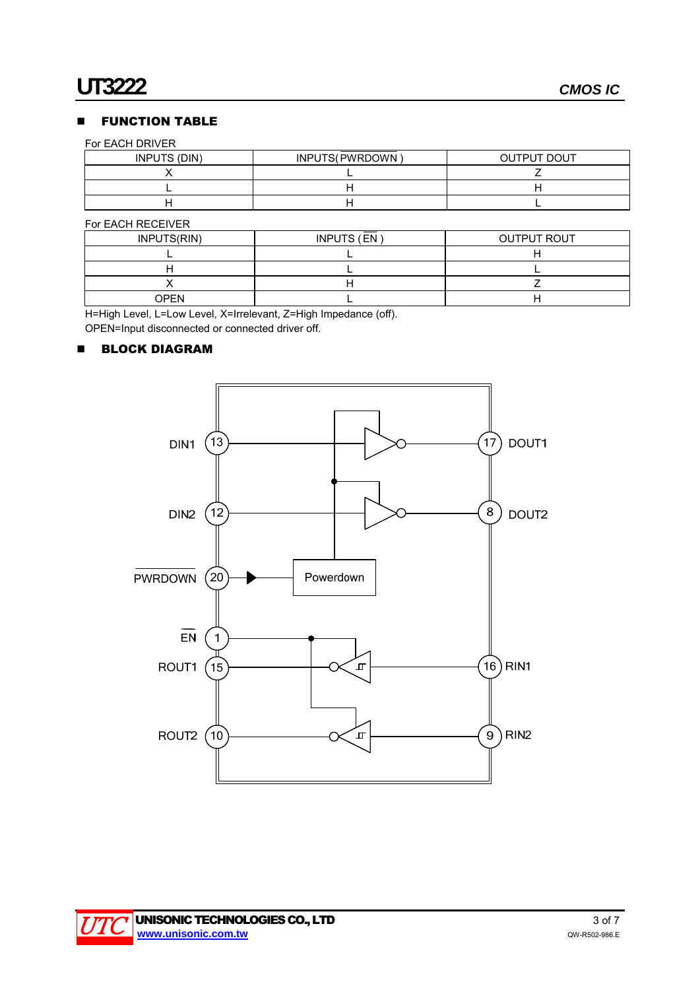## **FUNCTION TABLE**

#### For EACH DRIVER

| INPUTS (DIN) | INPUTS(PWRDOWN) | <b>OUTPUT DOUT</b> |
|--------------|-----------------|--------------------|
|              |                 |                    |
|              |                 |                    |
|              |                 |                    |

#### For EACH RECEIVER

| INPUTS(RIN) | INPUTS (EN) | <b>OUTPUT ROUT</b> |
|-------------|-------------|--------------------|
|             |             |                    |
|             |             |                    |
|             |             |                    |
| OPFN        |             |                    |

H=High Level, L=Low Level, X=Irrelevant, Z=High Impedance (off).

OPEN=Input disconnected or connected driver off.

## **BLOCK DIAGRAM**



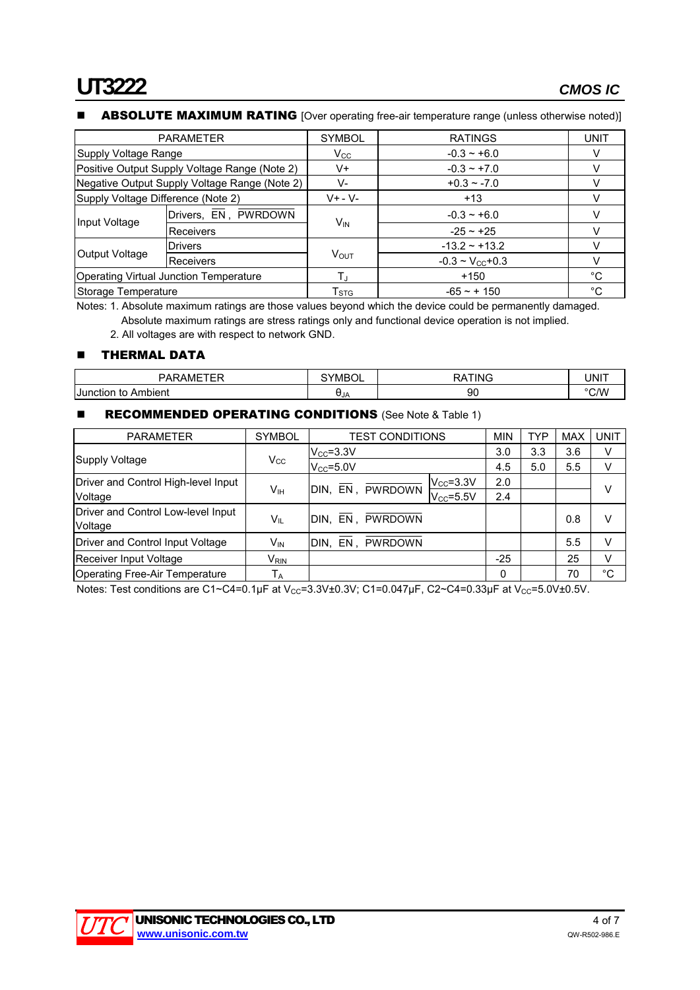### ABSOLUTE MAXIMUM RATING [Over operating free-air temperature range (unless otherwise noted)]

| <b>PARAMETER</b>                              |                      | <b>SYMBOL</b>             | <b>RATINGS</b>               | UNIT |
|-----------------------------------------------|----------------------|---------------------------|------------------------------|------|
| Supply Voltage Range                          |                      | $V_{\rm CC}$              | $-0.3 - +6.0$                |      |
| Positive Output Supply Voltage Range (Note 2) |                      | V+                        | $-0.3 - +7.0$                |      |
| Negative Output Supply Voltage Range (Note 2) |                      | V-                        | $+0.3 - -7.0$                |      |
| Supply Voltage Difference (Note 2)            |                      | $V + - V -$               | $+13$                        |      |
| Input Voltage                                 | Drivers, EN, PWRDOWN | $V_{IN}$                  | $-0.3 - +6.0$                | v    |
|                                               | <b>Receivers</b>     |                           | $-25 \sim +25$               |      |
|                                               | <b>Drivers</b>       |                           | $-13.2 - +13.2$              |      |
| Output Voltage<br><b>Receivers</b>            |                      | <b>VOUT</b>               | $-0.3 \sim V_{\rm CC} + 0.3$ |      |
| <b>Operating Virtual Junction Temperature</b> |                      | $T_{\rm J}$               | $+150$                       | °C   |
| Storage Temperature                           |                      | $\mathsf{T}_{\text{STG}}$ | $-65 - + 150$                | °C   |

Notes: 1. Absolute maximum ratings are those values beyond which the device could be permanently damaged. Absolute maximum ratings are stress ratings only and functional device operation is not implied.

2. All voltages are with respect to network GND.

## **THERMAL DATA**

| -----                         | <b>N/IH</b> | ֿ         | $\cdots$<br>ч. |
|-------------------------------|-------------|-----------|----------------|
| ibient<br>l Junc<br>τc<br>яюн | UJA         | n٢<br>ิษเ |                |

## **RECOMMENDED OPERATING CONDITIONS** (See Note & Table 1)

| <b>PARAMETER</b>                              | <b>SYMBOL</b>    | TEST CONDITIONS                        | <b>MIN</b> | TYP | <b>MAX</b> | <b>UNIT</b> |
|-----------------------------------------------|------------------|----------------------------------------|------------|-----|------------|-------------|
|                                               |                  | $V_{CC} = 3.3V$                        | 3.0        | 3.3 | 3.6        | V           |
| Supply Voltage                                | $V_{\rm CC}$     | $V_{CC} = 5.0V$                        | 4.5        | 5.0 | 5.5        | v           |
| Driver and Control High-level Input           |                  | $V_{CC} = 3.3V$                        | 2.0        |     |            | v           |
| Voltage                                       | Vıн              | EN, PWRDOWN<br>DIN.<br>$V_{CC} = 5.5V$ | 2.4        |     |            |             |
| Driver and Control Low-level Input<br>Voltage | Vıl              | DIN. EN. PWRDOWN                       |            |     | 0.8        | v           |
| Driver and Control Input Voltage              | V <sub>IN</sub>  | DIN, EN, PWRDOWN                       |            |     | 5.5        | V           |
| Receiver Input Voltage                        | V <sub>rin</sub> |                                        | $-25$      |     | 25         | V           |
| <b>Operating Free-Air Temperature</b>         | $T_A$            |                                        | 0          |     | 70         | °C          |

Notes: Test conditions are C1~C4=0.1µF at V<sub>CC</sub>=3.3V±0.3V; C1=0.047µF, C2~C4=0.33µF at V<sub>CC</sub>=5.0V±0.5V.

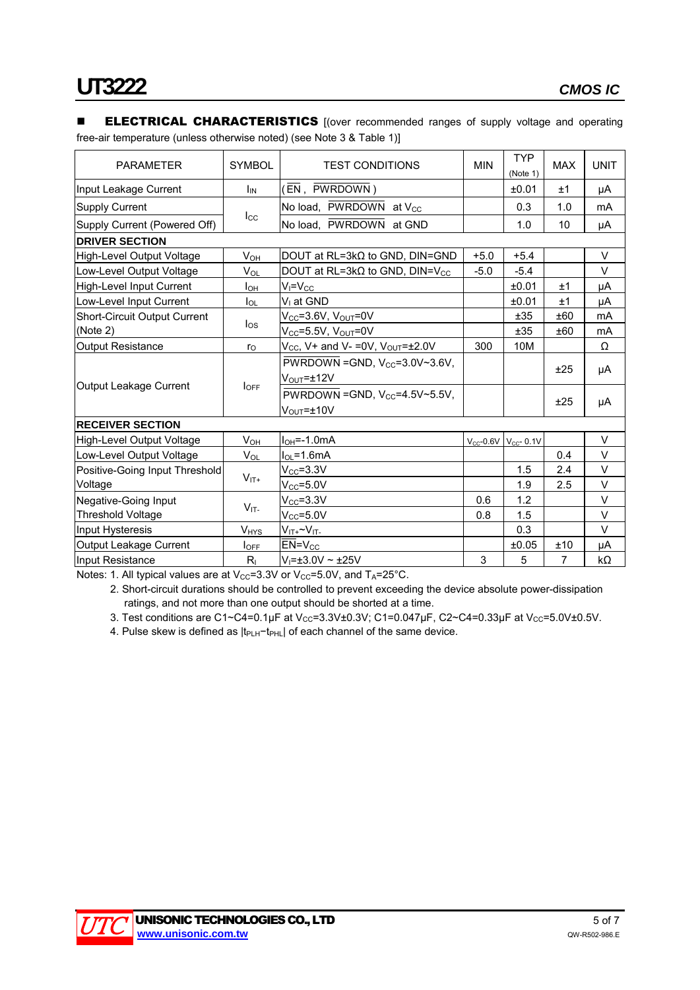#### **ELECTRICAL CHARACTERISTICS** [(over recommended ranges of supply voltage and operating free-air temperature (unless otherwise noted) (see Note 3 & Table 1)]

| <b>PARAMETER</b>                    | <b>SYMBOL</b>          | <b>TEST CONDITIONS</b>                             | <b>MIN</b>     | <b>TYP</b><br>(Note 1) | <b>MAX</b> | <b>UNIT</b> |
|-------------------------------------|------------------------|----------------------------------------------------|----------------|------------------------|------------|-------------|
| Input Leakage Current               | $I_{IN}$               | (EN, PWRDOWN)                                      |                | ±0.01                  | ±1         | μA          |
| <b>Supply Current</b>               |                        | No load, PWRDOWN at V <sub>CC</sub>                |                | 0.3                    | 1.0        | mA          |
| Supply Current (Powered Off)        | $_{\rm lcc}$           | No load, PWRDOWN at GND                            |                | 1.0                    | 10         | μA          |
| <b>DRIVER SECTION</b>               |                        |                                                    |                |                        |            |             |
| High-Level Output Voltage           | $V_{OH}$               | DOUT at $RL = 3k\Omega$ to GND, DIN=GND            | $+5.0$         | $+5.4$                 |            | V           |
| Low-Level Output Voltage            | $V_{\Omega}$           | DOUT at RL=3k $\Omega$ to GND, DIN=V <sub>CC</sub> | $-5.0$         | $-5.4$                 |            | $\vee$      |
| High-Level Input Current            | I <sub>ОН</sub>        | $V_I = V_{CC}$                                     |                | ±0.01                  | ±1         | μA          |
| Low-Level Input Current             | $I_{OL}$               | V <sub>I</sub> at GND                              |                | ±0.01                  | ±1         | μA          |
| <b>Short-Circuit Output Current</b> |                        | $V_{CC}$ =3.6V, $V_{OUT}$ =0V                      |                | ±35                    | ±60        | mA          |
| (Note 2)                            | $I_{OS}$               | $V_{CC}$ =5.5V, $V_{OUT}$ =0V                      |                | ±35                    | ±60        | mA          |
| <b>Output Resistance</b>            | $r_{\rm O}$            | $V_{CC}$ , V+ and V- = 0V, $V_{OUT} = \pm 2.0V$    | 300            | 10M                    |            | Ω           |
|                                     | $I_{\text{OFF}}$       | PWRDOWN = GND, $V_{CC}$ =3.0V~3.6V,                |                |                        |            |             |
|                                     |                        | $V_{\text{OUT}} = \pm 12V$                         |                |                        | ±25        | μA          |
| Output Leakage Current              |                        | PWRDOWN = GND, $V_{CC}$ =4.5V~5.5V,                |                |                        | ±25        | μA          |
|                                     |                        | $V_{\text{OUT}} = \pm 10V$                         |                |                        |            |             |
| <b>RECEIVER SECTION</b>             |                        |                                                    |                |                        |            |             |
| High-Level Output Voltage           | $V_{OH}$               | $IOH=-1.0mA$                                       | $V_{CC}$ -0.6V | $V_{CC}$ - 0.1V        |            | $\vee$      |
| Low-Level Output Voltage            | $V_{OL}$               | $I_{OL} = 1.6mA$                                   |                |                        | 0.4        | $\vee$      |
| Positive-Going Input Threshold      |                        | $\rm V_{CC}$ =3.3V                                 |                | 1.5                    | 2.4        | V           |
| Voltage                             | $V_{IT+}$              | $V_{CC}$ =5.0V                                     |                | 1.9                    | 2.5        | $\vee$      |
| Negative-Going Input                |                        | $V_{CC} = 3.3V$                                    | 0.6            | 1.2                    |            | $\vee$      |
| <b>Threshold Voltage</b>            | $V_{IT}$               | $V_{CC} = 5.0V$                                    | 0.8            | 1.5                    |            | V           |
| Input Hysteresis                    | <b>V<sub>HYS</sub></b> | $V_{IT+}$ ~ $V_{IT-}$                              |                | 0.3                    |            | $\vee$      |
| Output Leakage Current              | $I_{\text{OFF}}$       | $EN=V_{CC}$                                        |                | ±0.05                  | ±10        | μA          |
| Input Resistance                    | $R_{I}$                | $V_1 = \pm 3.0 V \sim \pm 25 V$                    | 3              | 5                      | 7          | kΩ          |

Notes: 1. All typical values are at  $V_{CC}=3.3V$  or  $V_{CC}=5.0V$ , and  $T_A=25^{\circ}C$ .

2. Short-circuit durations should be controlled to prevent exceeding the device absolute power-dissipation ratings, and not more than one output should be shorted at a time.

3. Test conditions are C1~C4=0.1µF at V<sub>CC</sub>=3.3V±0.3V; C1=0.047µF, C2~C4=0.33µF at V<sub>CC</sub>=5.0V±0.5V.

4. Pulse skew is defined as |t<sub>PLH</sub>-t<sub>PHL</sub>| of each channel of the same device.

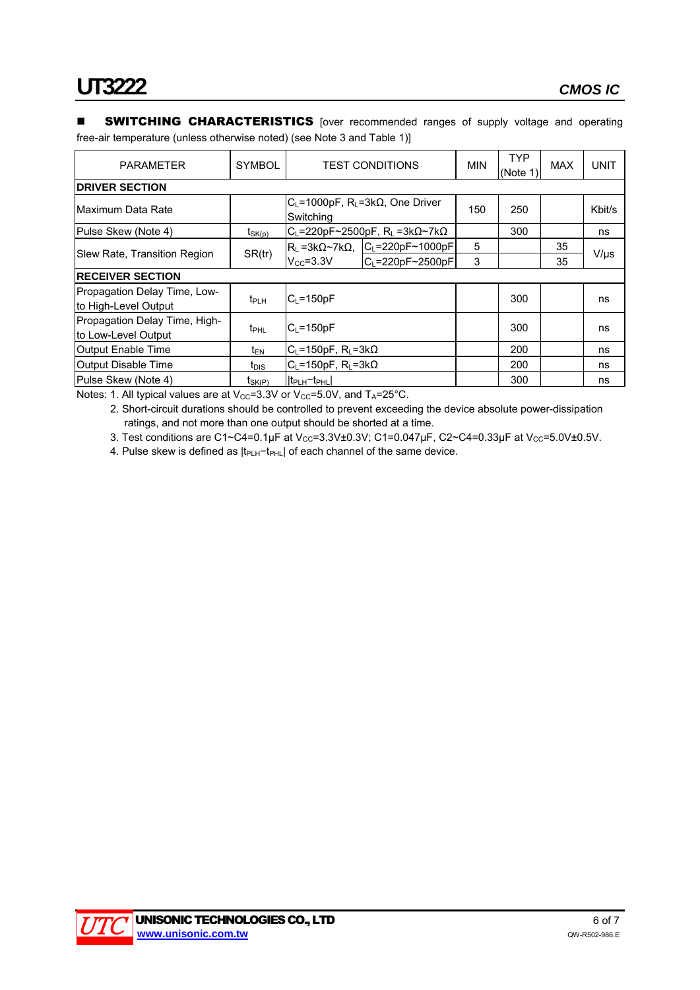#### **SWITCHING CHARACTERISTICS** [over recommended ranges of supply voltage and operating free-air temperature (unless otherwise noted) (see Note 3 and Table 1)]

| <b>PARAMETER</b>                                     | <b>SYMBOL</b>    | <b>TEST CONDITIONS</b>                                               |                                                               | <b>MIN</b> | <b>TYP</b><br>(Note 1) | <b>MAX</b> | <b>UNIT</b> |
|------------------------------------------------------|------------------|----------------------------------------------------------------------|---------------------------------------------------------------|------------|------------------------|------------|-------------|
| <b>DRIVER SECTION</b>                                |                  |                                                                      |                                                               |            |                        |            |             |
| Maximum Data Rate                                    |                  | $C_L$ =1000pF, R <sub>L</sub> =3k $\Omega$ , One Driver<br>Switching |                                                               | 150        | 250                    |            | Kbit/s      |
| Pulse Skew (Note 4)                                  | $t_{SK(p)}$      |                                                                      | $C_L$ =220pF~2500pF, R <sub>L</sub> =3k $\Omega$ ~7k $\Omega$ |            | 300                    |            | ns          |
|                                                      | SR(tr)           |                                                                      | $R_L = 3k\Omega \sim 7k\Omega$ , $ C_L = 220pF \sim 1000pF $  | 5          |                        | 35         |             |
| Slew Rate, Transition Region                         |                  | $V_{CC} = 3.3V$                                                      | $C_L = 220pF - 2500pF$                                        | 3          |                        | 35         | $V/\mu s$   |
| <b>RECEIVER SECTION</b>                              |                  |                                                                      |                                                               |            |                        |            |             |
| Propagation Delay Time, Low-<br>to High-Level Output | $t_{PLH}$        | $C_1 = 150pF$                                                        |                                                               |            | 300                    |            | ns          |
| Propagation Delay Time, High-<br>to Low-Level Output | t <sub>PHL</sub> | $C_1 = 150pF$                                                        |                                                               |            | 300                    |            | ns          |
| Output Enable Time                                   | $t_{EN}$         | $C_L$ =150pF, R <sub>L</sub> =3k $\Omega$                            |                                                               |            | 200                    |            | ns          |
| Output Disable Time                                  | t <sub>DIS</sub> | $C_L = 150pF$ , $R_L = 3k\Omega$                                     |                                                               |            | 200                    |            | ns          |
| Pulse Skew (Note 4)                                  | $t_{SK(P)}$      | $ t_{\text{PLH}}-t_{\text{PHL}} $                                    |                                                               |            | 300                    |            | ns          |

Notes: 1. All typical values are at  $V_{CC}=3.3V$  or  $V_{CC}=5.0V$ , and  $T_A=25^{\circ}$ C.

2. Short-circuit durations should be controlled to prevent exceeding the device absolute power-dissipation ratings, and not more than one output should be shorted at a time.

3. Test conditions are C1~C4=0.1µF at V<sub>CC</sub>=3.3V±0.3V; C1=0.047µF, C2~C4=0.33µF at V<sub>CC</sub>=5.0V±0.5V.

4. Pulse skew is defined as |t<sub>PLH</sub>-t<sub>PHL</sub>| of each channel of the same device.